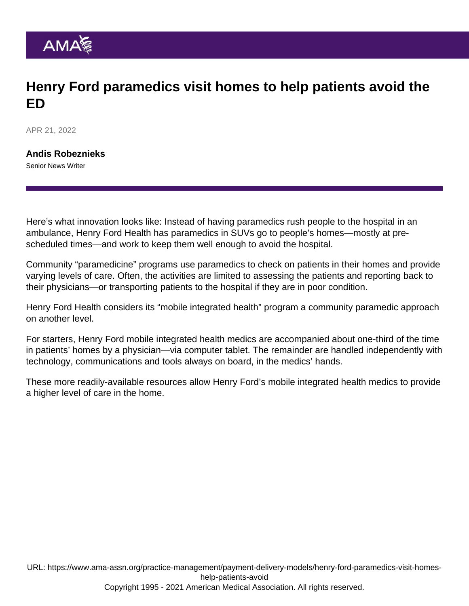## Henry Ford paramedics visit homes to help patients avoid the ED

APR 21, 2022

[Andis Robeznieks](https://www.ama-assn.org/news-leadership-viewpoints/authors-news-leadership-viewpoints/andis-robeznieks) Senior News Writer

Here's what innovation looks like: Instead of having paramedics rush people to the hospital in an ambulance, Henry Ford Health has paramedics in SUVs go to people's homes—mostly at prescheduled times—and work to keep them well enough to avoid the hospital.

Community "paramedicine" programs use paramedics to check on patients in their homes and provide varying levels of care. Often, the activities are limited to assessing the patients and reporting back to their physicians—or transporting patients to the hospital if they are in poor condition.

Henry Ford Health considers its "mobile integrated health" program a community paramedic approach on another level.

For starters, Henry Ford mobile integrated health medics are accompanied about one-third of the time in patients' homes by a physician—via computer tablet. The remainder are handled independently with technology, communications and tools always on board, in the medics' hands.

These more readily-available resources allow Henry Ford's mobile integrated health medics to provide a higher level of care in the home.

URL: [https://www.ama-assn.org/practice-management/payment-delivery-models/henry-ford-paramedics-visit-homes](https://www.ama-assn.org/practice-management/payment-delivery-models/henry-ford-paramedics-visit-homes-help-patients-avoid)[help-patients-avoid](https://www.ama-assn.org/practice-management/payment-delivery-models/henry-ford-paramedics-visit-homes-help-patients-avoid) Copyright 1995 - 2021 American Medical Association. All rights reserved.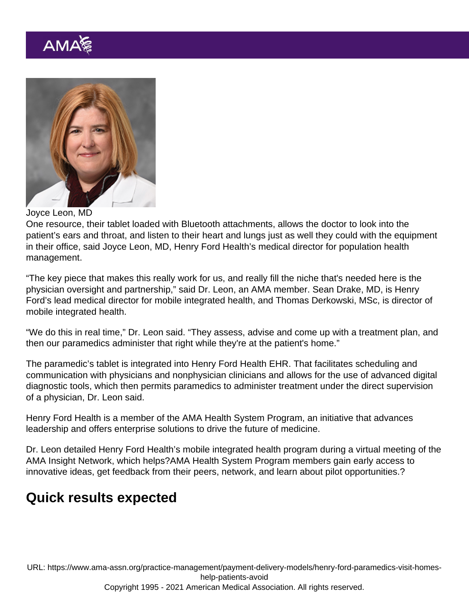## Joyce Leon, MD

One resource, their tablet loaded with Bluetooth attachments, allows the doctor to look into the patient's ears and throat, and listen to their heart and lungs just as well they could with the equipment in their office, said Joyce Leon, MD, Henry Ford Health's medical director for population health management.

"The key piece that makes this really work for us, and really fill the niche that's needed here is the physician oversight and partnership," said Dr. Leon, an AMA member. Sean Drake, MD, is Henry Ford's lead medical director for mobile integrated health, and Thomas Derkowski, MSc, is director of mobile integrated health.

"We do this in real time," Dr. Leon said. "They assess, advise and come up with a treatment plan, and then our paramedics administer that right while they're at the patient's home."

The paramedic's tablet is integrated into Henry Ford Health EHR. That facilitates scheduling and communication with physicians and nonphysician clinicians and allows for the use of advanced digital diagnostic tools, which then permits paramedics to administer treatment under the direct supervision of a physician, Dr. Leon said.

[Henry Ford Health](https://www.ama-assn.org/about/leadership/henry-ford-health-system-spotlight) is a member of the [AMA Health System Program,](https://www.ama-assn.org/amaone/ama-health-system-program) an initiative that advances leadership and offers enterprise solutions to drive the future of medicine.

Dr. Leon detailed Henry Ford Health's mobile integrated health program during a virtual meeting of the AMA Insight Network, which helps?AMA Health System Program members gain early access to innovative ideas, get feedback from their peers, network, and learn about pilot opportunities.?

## Quick results expected

URL: [https://www.ama-assn.org/practice-management/payment-delivery-models/henry-ford-paramedics-visit-homes](https://www.ama-assn.org/practice-management/payment-delivery-models/henry-ford-paramedics-visit-homes-help-patients-avoid)[help-patients-avoid](https://www.ama-assn.org/practice-management/payment-delivery-models/henry-ford-paramedics-visit-homes-help-patients-avoid) Copyright 1995 - 2021 American Medical Association. All rights reserved.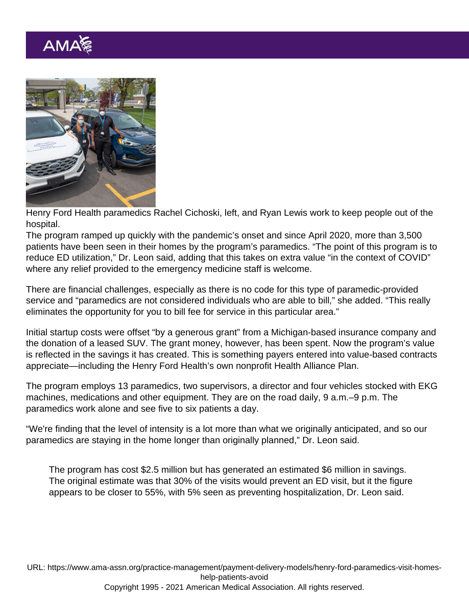Henry Ford Health paramedics Rachel Cichoski, left, and Ryan Lewis work to keep people out of the hospital.

The program ramped up quickly with the pandemic's onset and since April 2020, more than 3,500 patients have been seen in their homes by the program's paramedics. "The point of this program is to reduce ED utilization," Dr. Leon said, adding that this takes on extra value "in the context of COVID" where any relief provided to the emergency medicine staff is welcome.

There are financial challenges, especially as there is no code for this type of paramedic-provided service and "paramedics are not considered individuals who are able to bill," she added. "This really eliminates the opportunity for you to bill fee for service in this particular area."

Initial startup costs were offset "by a generous grant" from a Michigan-based insurance company and the donation of a leased SUV. The grant money, however, has been spent. Now the program's value is reflected in the savings it has created. This is something payers entered into value-based contracts appreciate—including the Henry Ford Health's own nonprofit Health Alliance Plan.

The program employs 13 paramedics, two supervisors, a director and four vehicles stocked with EKG machines, medications and other equipment. They are on the road daily, 9 a.m.–9 p.m. The paramedics work alone and see five to six patients a day.

"We're finding that the level of intensity is a lot more than what we originally anticipated, and so our paramedics are staying in the home longer than originally planned," Dr. Leon said.

The program has cost \$2.5 million but has generated an estimated \$6 million in savings. The original estimate was that 30% of the visits would prevent an ED visit, but it the figure appears to be closer to 55%, with 5% seen as preventing hospitalization, Dr. Leon said.

URL: [https://www.ama-assn.org/practice-management/payment-delivery-models/henry-ford-paramedics-visit-homes](https://www.ama-assn.org/practice-management/payment-delivery-models/henry-ford-paramedics-visit-homes-help-patients-avoid)[help-patients-avoid](https://www.ama-assn.org/practice-management/payment-delivery-models/henry-ford-paramedics-visit-homes-help-patients-avoid) Copyright 1995 - 2021 American Medical Association. All rights reserved.